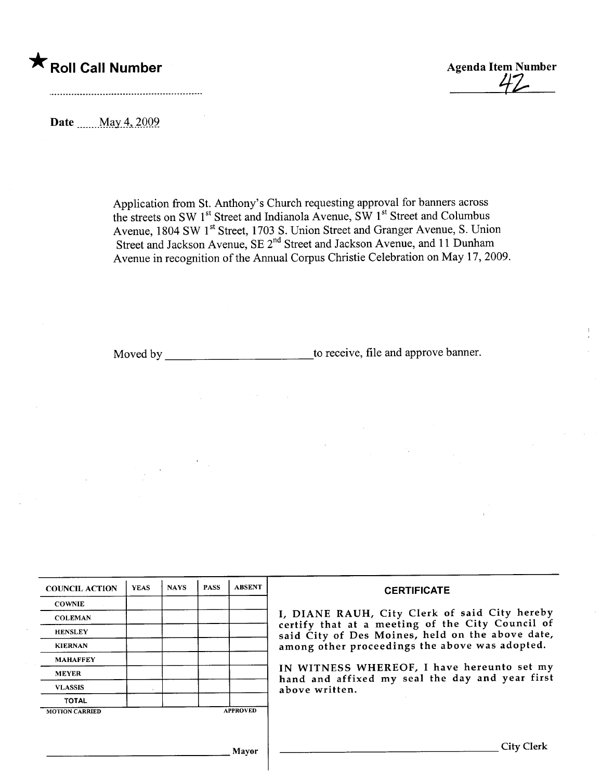



Date .......May 4, 2009

Application from St. Anthony's Church requesting approval for banners across the streets on SW  $1<sup>st</sup>$  Street and Indianola Avenue, SW  $1<sup>st</sup>$  Street and Columbus Avenue, 1804 SW 1<sup>st</sup> Street, 1703 S. Union Street and Granger Avenue, S. Union Street and Jackson Avenue, SE 2" Street and Jackson Avenue, and 11 Dunham Avenue in recognition of the Anual Corpus Chrstie Celebration on May 17, 2009.

Moved by to receive, fie and approve banner.

| <b>COUNCIL ACTION</b> | <b>YEAS</b> | <b>NAYS</b> | <b>PASS</b> | <b>ABSENT</b>   | <b>CERTIFICATE</b>                                                                                |  |  |  |  |  |
|-----------------------|-------------|-------------|-------------|-----------------|---------------------------------------------------------------------------------------------------|--|--|--|--|--|
| <b>COWNIE</b>         |             |             |             |                 |                                                                                                   |  |  |  |  |  |
| <b>COLEMAN</b>        |             |             |             |                 | I, DIANE RAUH, City Clerk of said City hereby<br>certify that at a meeting of the City Council of |  |  |  |  |  |
| <b>HENSLEY</b>        |             |             |             |                 | said City of Des Moines, held on the above date,                                                  |  |  |  |  |  |
| <b>KIERNAN</b>        |             |             |             |                 | among other proceedings the above was adopted.                                                    |  |  |  |  |  |
| <b>MAHAFFEY</b>       |             |             |             |                 |                                                                                                   |  |  |  |  |  |
| <b>MEYER</b>          |             |             |             |                 | IN WITNESS WHEREOF, I have hereunto set my<br>hand and affixed my seal the day and year first     |  |  |  |  |  |
| <b>VLASSIS</b>        |             |             |             |                 | above written.                                                                                    |  |  |  |  |  |
| <b>TOTAL</b>          |             |             |             |                 |                                                                                                   |  |  |  |  |  |
| <b>MOTION CARRIED</b> |             |             |             | <b>APPROVED</b> |                                                                                                   |  |  |  |  |  |
|                       |             |             |             |                 |                                                                                                   |  |  |  |  |  |
|                       |             |             |             |                 |                                                                                                   |  |  |  |  |  |
|                       |             |             |             | Mayor           | City Clerk                                                                                        |  |  |  |  |  |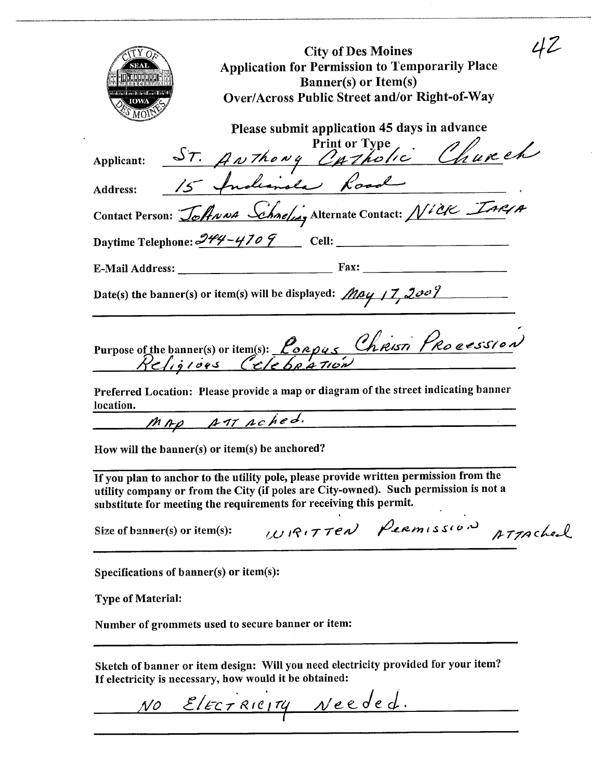| <b>City of Des Moines</b>                                                                                                                                                                                                                           |
|-----------------------------------------------------------------------------------------------------------------------------------------------------------------------------------------------------------------------------------------------------|
| <b>Application for Permission to Temporarily Place</b>                                                                                                                                                                                              |
| ið annan að a<br><b>Banner(s)</b> or Item(s)                                                                                                                                                                                                        |
| Over/Across Public Street and/or Right-of-Way<br>IOWA                                                                                                                                                                                               |
| Please submit application 45 days in advance                                                                                                                                                                                                        |
|                                                                                                                                                                                                                                                     |
|                                                                                                                                                                                                                                                     |
| Applicant: <u>ST. ANThong Optholic Church</u><br>Address: <u>15 Indianale Road</u>                                                                                                                                                                  |
| Contact Person: Johnna Schnefung Alternate Contact: Nick IARIA                                                                                                                                                                                      |
|                                                                                                                                                                                                                                                     |
|                                                                                                                                                                                                                                                     |
| Date(s) the banner(s) or item(s) will be displayed: $May/7, 200$                                                                                                                                                                                    |
| Purpose of the banner(s) or item(s): <u>Porpus</u> Christi Procession                                                                                                                                                                               |
| Preferred Location: Please provide a map or diagram of the street indicating banner<br>location.                                                                                                                                                    |
| MAP AMAched.                                                                                                                                                                                                                                        |
| How will the banner(s) or item(s) be anchored?                                                                                                                                                                                                      |
| If you plan to anchor to the utility pole, please provide written permission from the<br>utility company or from the City (if poles are City-owned). Such permission is not a<br>substitute for meeting the requirements for receiving this permit. |
| WIRITTEN PERMISSION<br>ATTACheal<br>Size of banner(s) or item(s):                                                                                                                                                                                   |
| Specifications of banner(s) or item(s):                                                                                                                                                                                                             |

**Type of Material:** 

Number of grommets used to secure banner or item:

Sketch of banner or item design: Will you need electricity provided for your item?<br>If electricity is necessary, how would it be obtained:

NO ElECTRICITY Needed.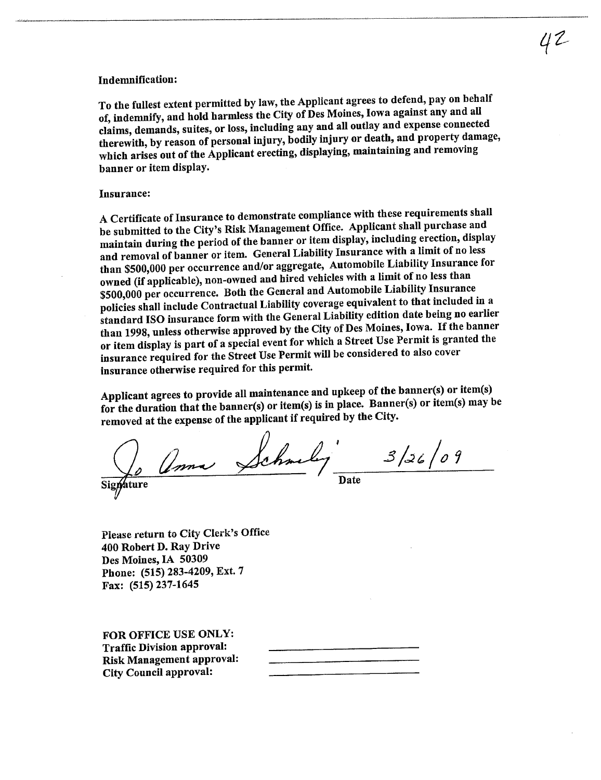## Indemnification:

To the fullest extent permitted by law, the Applicant agrees to defend, pay on behalf of, indemnify, and hold harmless the City of Des Moines, Iowa against any and all claims, demands, suites, or loss, including any and all outlay and expense connected therewith, by reason of personal injury, bodily injury or death, and property damage, which arises out of the Applicant erecting, displaying, maintaining and removing banner or item display.

## Insurance:

A Certificate of Insurance to demonstrate compliance with these requirements shall be submitted to the City's Risk Management Office. Applicant shall purchase and maintain during the period of the banner or item display, including erection, display and removal of banner or item. General Liabilty Insurance with a limit of no less than \$500,000 per occurrence and/or aggregate, Automobile Liabilty Insurance for owned (if applicable), non-owned and hired vehicles with a limit of no less than<br>\$500,000 per occurrence. Both the General and Automobile Liability Insurance \$500,000 per occurrence. Both the General and Automobile Liabilty Institute that included policies shall include Contractual Liabilty coverage equivalent to that included in a standard ISO insurance form with the General Liabilty edition date being no earlier than 1998, unless otherwise approved by the City of Des Moines, Iowa. If the banner or item display is part of a special event for which a Street Use Permit is granted the insurance required for the Street Use Permit wil be considered to also cover insurance otherwise required for this permit.

Applicant agrees to provide all maintenance and upkeep of the banner(s) or item(s) for the duration that the banner(s) or item(s) is in place. Banner(s) or item(s) may be removed at the expense of the applicant if required by the City.

Signature / <del>Date</del>  $3/$ 26  $/$ 09

Please return to City Clerk's Office 400 Robert D. Ray Drive Des Moines, IA 50309 Phone: (515) 283-4209, Ext. 7 Fax: (515) 237-1645

FOR OFFICE USE ONLY: Traffic Division approval: Risk Management approval: City Council approval: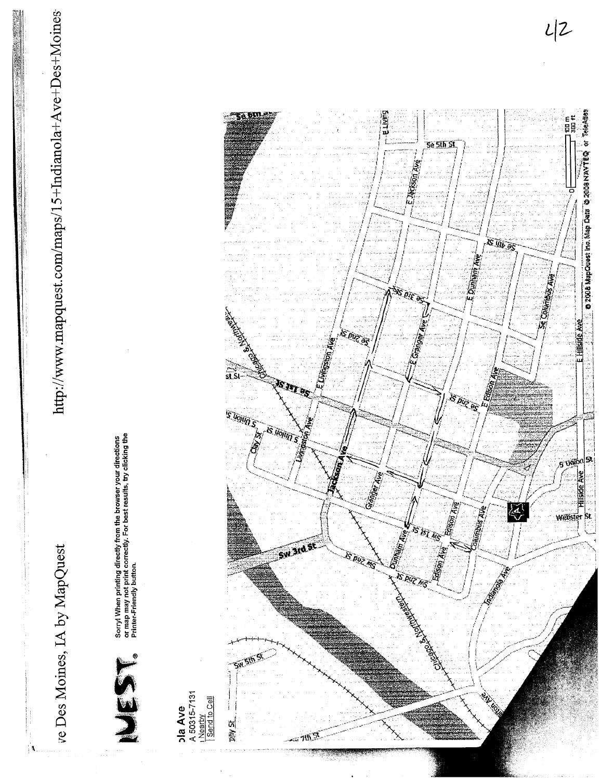http://www.mapquest.com/maps/15+Indianola+Ave+Des+Moines



Sorryl When printing directly from the browser your directions<br>or map may not print correctly. For best results, try clicking the<br>Printer-Friendly button.

**bla Ave**<br>A 50315-7131<br>I Send to Cell i **DIV St** 

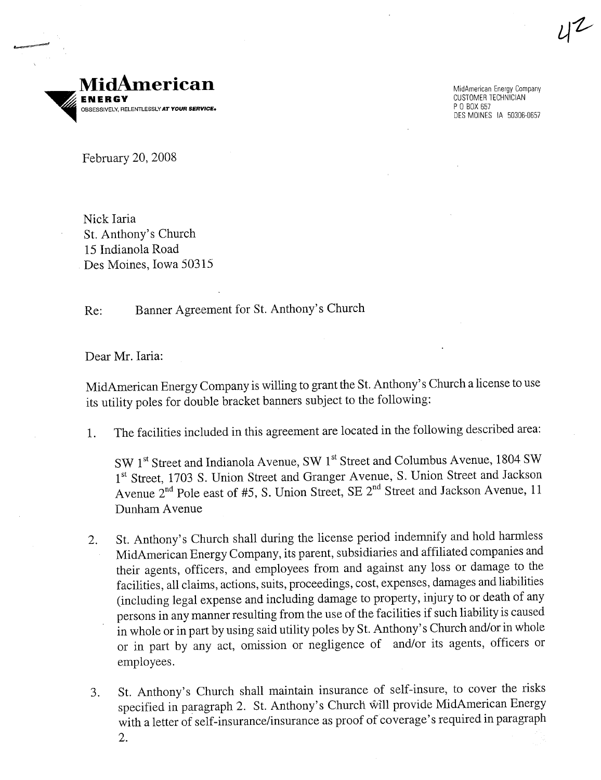

MidAmerican Energy Company CUSTOMER TECHNICIAN POBOX 657 DES MOINES IA 50306-0657

February 20, 2008

Nick Iaria St. Anthony's Church 15 Indianola Road Des Moines, Iowa 50315

Re: Banner Agreement for St. Anthony's Church

Dear Mr. Iaria:

MidAmerican Energy Company is willing to grant the St. Anthony's Church a license to use its utility poles for double bracket banners subject to the following:

 $4^{2}$ 

1. The facilities included in this agreement are located in the following described area:

SW 1<sup>st</sup> Street and Indianola Avenue, SW 1<sup>st</sup> Street and Columbus Avenue, 1804 SW 1<sup>st</sup> Street, 1703 S. Union Street and Granger Avenue, S. Union Street and Jackson Avenue 2<sup>nd</sup> Pole east of #5, S. Union Street, SE 2<sup>nd</sup> Street and Jackson Avenue, 11 Dunham A venue

- 2. St. Anthony's Church shall during the license period indemnify and hold harmess MidAmerican Energy Company, its parent, subsidiaries and affiliated companies and their agents, officers, and employees from and against any loss or damage to the facilities, all claims, actions, suits, proceedings, cost, expenses, damages and liabilties (including legal expense and including damage to property, injury to or death of any persons in any manner resulting from the use of the facilities if such liabilty is caused in whole or in part by using said utility poles by St. Anthony's Church and/or in whole or in part by any act, omission or negligence of and/or its agents, officers or employees.
- 3. St. Anthony's Church shall maintain insurance of self-insure, to cover the risks specified in paragraph 2. St. Anthony's Church will provide MidAmerican Energy with a letter of self-insurance/insurance as proof of coverage's required in paragraph 2.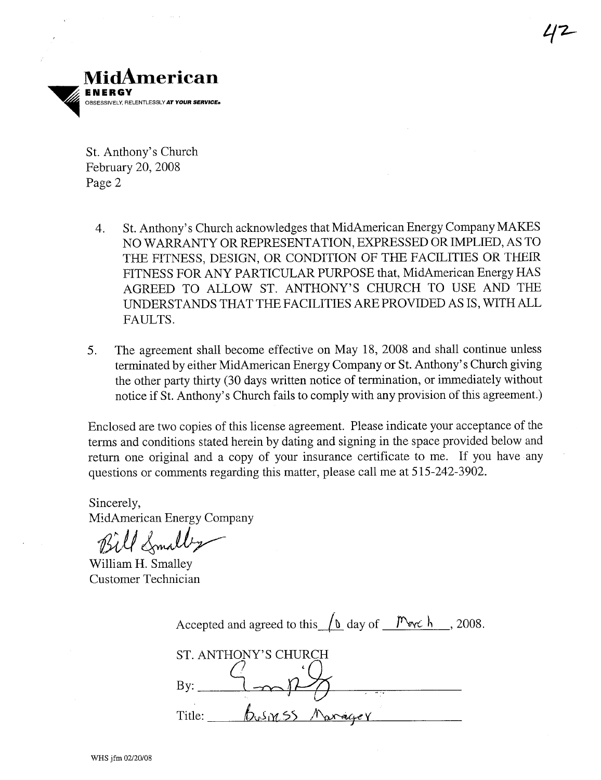

St. Anthony's Church February 20, 2008 Page 2

- 4. St. Anthony's Church acknowledges that MidAmerican Energy Company MAKES NO WARRANTY OR REPRESENTATION, EXPRESSED OR IMPLIED, AS TO THE FITNESS, DESIGN, OR CONDITION OF THE FACILITIES OR THEIR FITNESS FOR ANY PARTICULAR PURPOSE that, MidAmerican Energy HAS AGREED TO ALLOW ST. ANTHONY'S CHURCH TO USE AND THE UNDERSTANDS THAT THE FACILITIES ARE PROVIDED AS IS, WITH ALL FAULTS.
- 5. The agreement shall become effective on May 18, 2008 and shall continue unless termnated by either MidAmerican Energy Company or St. Anthony's Church giving the other party thirty (30 days written notice of termination, or immediately without notice if St. Anthony's Church fails to comply with any provision of this agreement.)

Enclosed are two copies of this license agreement. Please indicate your acceptance of the terms and conditions stated herein by dating and signing in the space provided below and return one original and a copy of your insurance certificate to me. If you have any questions or comments regarding this matter, please call me at 515-242-3902.

Sincerely, MidAmerican Energy Company

Bill Smally

William H. Smalley Customer Technician

| Accepted and agreed to this $\int_0^{\infty}$ day of $\frac{m_{\text{eV}}}{m_{\text{eV}}}$ , 2008. |
|----------------------------------------------------------------------------------------------------|
| ST. ANTHONY'S CHURCH                                                                               |
| $\rm{By:}$<br>$\overline{1}$                                                                       |
| DUSINSS<br>Title:                                                                                  |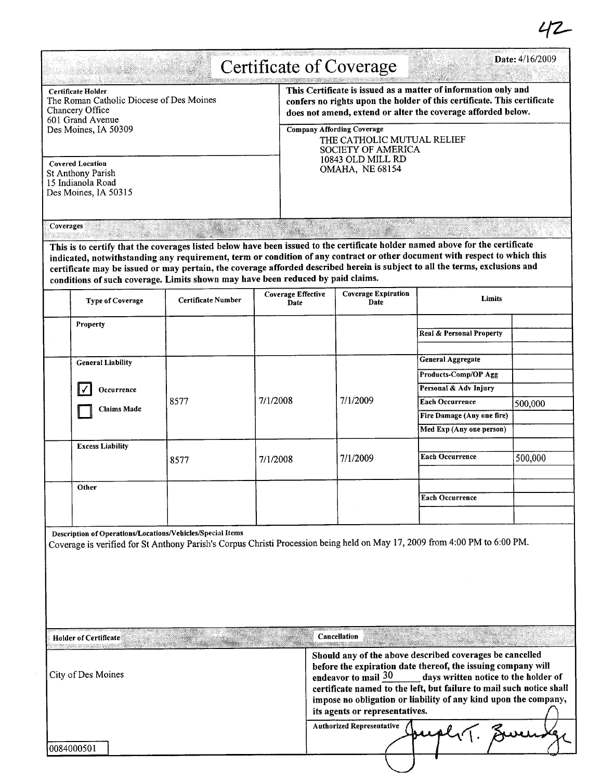|                                                                                                                                      |                                                                                 |                    |          |                                                                                                                                                                                                           | <b>Certificate of Coverage</b>                                                                                                                                                                                                                                                                                                                                       |                                                                                                                                                                                                                                                            | Date: 4/16/2009 |  |
|--------------------------------------------------------------------------------------------------------------------------------------|---------------------------------------------------------------------------------|--------------------|----------|-----------------------------------------------------------------------------------------------------------------------------------------------------------------------------------------------------------|----------------------------------------------------------------------------------------------------------------------------------------------------------------------------------------------------------------------------------------------------------------------------------------------------------------------------------------------------------------------|------------------------------------------------------------------------------------------------------------------------------------------------------------------------------------------------------------------------------------------------------------|-----------------|--|
| <b>Certificate Holder</b><br>The Roman Catholic Diocese of Des Moines<br>Chancery Office<br>601 Grand Avenue<br>Des Moines, IA 50309 |                                                                                 |                    |          | This Certificate is issued as a matter of information only and<br>confers no rights upon the holder of this certificate. This certificate<br>does not amend, extend or alter the coverage afforded below. |                                                                                                                                                                                                                                                                                                                                                                      |                                                                                                                                                                                                                                                            |                 |  |
|                                                                                                                                      |                                                                                 |                    |          | <b>Company Affording Coverage</b>                                                                                                                                                                         |                                                                                                                                                                                                                                                                                                                                                                      |                                                                                                                                                                                                                                                            |                 |  |
|                                                                                                                                      |                                                                                 |                    |          |                                                                                                                                                                                                           | THE CATHOLIC MUTUAL RELIEF<br><b>SOCIETY OF AMERICA</b>                                                                                                                                                                                                                                                                                                              |                                                                                                                                                                                                                                                            |                 |  |
| <b>Covered Location</b><br><b>St Anthony Parish</b><br>15 Indianola Road<br>Des Moines, IA 50315                                     |                                                                                 |                    |          |                                                                                                                                                                                                           | 10843 OLD MILL RD<br>OMAHA, NE 68154                                                                                                                                                                                                                                                                                                                                 |                                                                                                                                                                                                                                                            |                 |  |
| Coverages                                                                                                                            |                                                                                 |                    |          |                                                                                                                                                                                                           |                                                                                                                                                                                                                                                                                                                                                                      |                                                                                                                                                                                                                                                            |                 |  |
|                                                                                                                                      |                                                                                 |                    |          |                                                                                                                                                                                                           |                                                                                                                                                                                                                                                                                                                                                                      | This is to certify that the coverages listed below have been issued to the certificate holder named above for the certificate                                                                                                                              |                 |  |
|                                                                                                                                      | conditions of such coverage. Limits shown may have been reduced by paid claims. |                    |          |                                                                                                                                                                                                           |                                                                                                                                                                                                                                                                                                                                                                      | indicated, notwithstanding any requirement, term or condition of any contract or other document with respect to which this<br>certificate may be issued or may pertain, the coverage afforded described herein is subject to all the terms, exclusions and |                 |  |
|                                                                                                                                      | <b>Type of Coverage</b>                                                         | Certificate Number |          | <b>Coverage Effective</b><br>Date                                                                                                                                                                         | <b>Coverage Expiration</b><br>Date                                                                                                                                                                                                                                                                                                                                   | Limits                                                                                                                                                                                                                                                     |                 |  |
|                                                                                                                                      | Property                                                                        |                    |          |                                                                                                                                                                                                           |                                                                                                                                                                                                                                                                                                                                                                      |                                                                                                                                                                                                                                                            |                 |  |
|                                                                                                                                      |                                                                                 |                    |          |                                                                                                                                                                                                           |                                                                                                                                                                                                                                                                                                                                                                      | Real & Personal Property                                                                                                                                                                                                                                   |                 |  |
|                                                                                                                                      | <b>General Liability</b>                                                        |                    |          |                                                                                                                                                                                                           |                                                                                                                                                                                                                                                                                                                                                                      | <b>General Aggregate</b>                                                                                                                                                                                                                                   |                 |  |
|                                                                                                                                      |                                                                                 |                    |          |                                                                                                                                                                                                           |                                                                                                                                                                                                                                                                                                                                                                      | <b>Products-Comp/OP Agg</b>                                                                                                                                                                                                                                |                 |  |
|                                                                                                                                      | Occurrence                                                                      |                    |          |                                                                                                                                                                                                           | 7/1/2009                                                                                                                                                                                                                                                                                                                                                             | Personal & Adv Injury                                                                                                                                                                                                                                      |                 |  |
|                                                                                                                                      | <b>Claims Made</b>                                                              | 8577               | 7/1/2008 |                                                                                                                                                                                                           |                                                                                                                                                                                                                                                                                                                                                                      | <b>Each Occurrence</b>                                                                                                                                                                                                                                     | 500,000         |  |
|                                                                                                                                      |                                                                                 |                    |          |                                                                                                                                                                                                           |                                                                                                                                                                                                                                                                                                                                                                      | Fire Damage (Any one fire)                                                                                                                                                                                                                                 |                 |  |
|                                                                                                                                      |                                                                                 |                    |          |                                                                                                                                                                                                           |                                                                                                                                                                                                                                                                                                                                                                      | Med Exp (Any one person)                                                                                                                                                                                                                                   |                 |  |
|                                                                                                                                      | <b>Excess Liability</b>                                                         | 8577               | 7/1/2008 |                                                                                                                                                                                                           | 7/1/2009                                                                                                                                                                                                                                                                                                                                                             | <b>Each Occurrence</b>                                                                                                                                                                                                                                     | 500,000         |  |
|                                                                                                                                      |                                                                                 |                    |          |                                                                                                                                                                                                           |                                                                                                                                                                                                                                                                                                                                                                      |                                                                                                                                                                                                                                                            |                 |  |
|                                                                                                                                      | Other                                                                           |                    |          |                                                                                                                                                                                                           |                                                                                                                                                                                                                                                                                                                                                                      |                                                                                                                                                                                                                                                            |                 |  |
|                                                                                                                                      |                                                                                 |                    |          |                                                                                                                                                                                                           |                                                                                                                                                                                                                                                                                                                                                                      | <b>Each Occurrence</b>                                                                                                                                                                                                                                     |                 |  |
|                                                                                                                                      |                                                                                 |                    |          |                                                                                                                                                                                                           |                                                                                                                                                                                                                                                                                                                                                                      |                                                                                                                                                                                                                                                            |                 |  |
|                                                                                                                                      | Description of Operations/Locations/Vehicles/Special Items                      |                    |          |                                                                                                                                                                                                           |                                                                                                                                                                                                                                                                                                                                                                      | Coverage is verified for St Anthony Parish's Corpus Christi Procession being held on May 17, 2009 from 4:00 PM to 6:00 PM.                                                                                                                                 |                 |  |
|                                                                                                                                      | <b>Holder of Certificate</b>                                                    |                    |          |                                                                                                                                                                                                           | Cancellation                                                                                                                                                                                                                                                                                                                                                         |                                                                                                                                                                                                                                                            |                 |  |
| oneerssonarvestaarsestaatsistelle väli<br>City of Des Moines                                                                         |                                                                                 |                    |          |                                                                                                                                                                                                           | Should any of the above described coverages be cancelled<br>before the expiration date thereof, the issuing company will<br>endeavor to mail 30<br>days written notice to the holder of<br>certificate named to the left, but failure to mail such notice shall<br>impose no obligation or liability of any kind upon the company,<br>its agents or representatives. |                                                                                                                                                                                                                                                            |                 |  |
|                                                                                                                                      |                                                                                 |                    |          |                                                                                                                                                                                                           | <b>Authorized Representative</b>                                                                                                                                                                                                                                                                                                                                     |                                                                                                                                                                                                                                                            |                 |  |
|                                                                                                                                      | 0084000501                                                                      |                    |          |                                                                                                                                                                                                           |                                                                                                                                                                                                                                                                                                                                                                      |                                                                                                                                                                                                                                                            |                 |  |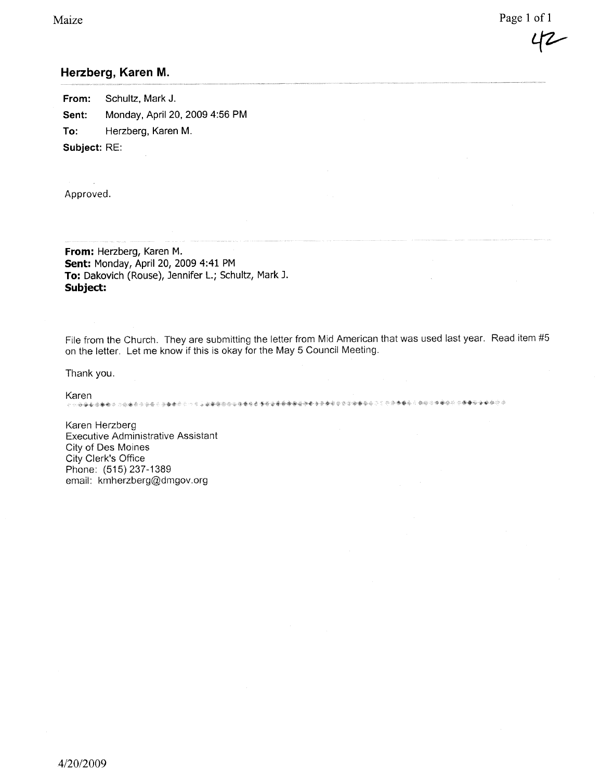Page 1 of 1

## Herzberg, Karen M.

From: Schultz, Mark J. Sent: Monday, April 20, 2009 4:56 PM To: Herzberg, Karen M. Subject: RE:

Approved.

From: Herzberg, Karen M. Sent: Monday, April 20, 2009 4:41 PM To: Dakovich (Rouse), Jennifer L.; Schultz, Mark J. Subject:

File from the Church. They are submitting the letter from Mid American that was used last year. Read item #5 on the letter. Let me know if this is okay for the May 5 Council Meeting.

Thank you.

Karen

Karen Herzberg Executive Administrative Assistant City of Des Moines City Clerk's Office Phone: (515) 237-1389 email: kmherzberg(Qdmgov.org